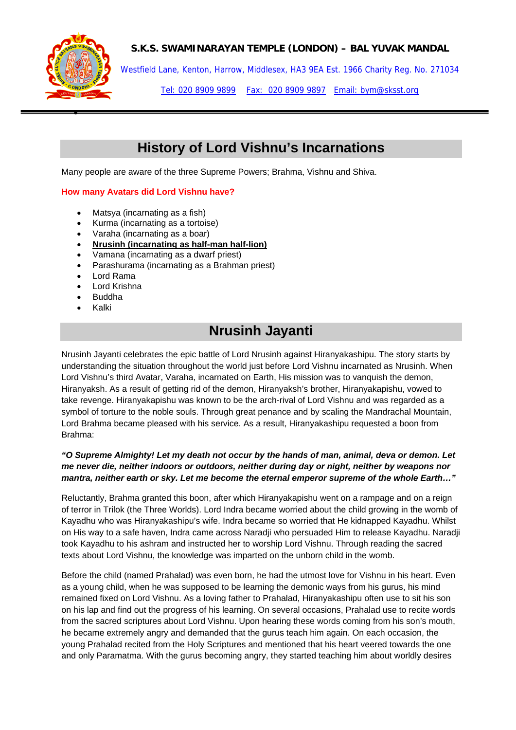

•

## **S.K.S. SWAMINARAYAN TEMPLE (LONDON) – BAL YUVAK MANDAL**

Westfield Lane, Kenton, Harrow, Middlesex, HA3 9EA Est. 1966 Charity Reg. No. 271034

Tel: 020 8909 9899 Fax: 020 8909 9897 Email: bym@sksst.org

# **History of Lord Vishnu's Incarnations**

Many people are aware of the three Supreme Powers; Brahma, Vishnu and Shiva.

#### **How many Avatars did Lord Vishnu have?**

- Matsya (incarnating as a fish)
- Kurma (incarnating as a tortoise)
- Varaha (incarnating as a boar)
- **Nrusinh (incarnating as half-man half-lion)**
- Vamana (incarnating as a dwarf priest)
- Parashurama (incarnating as a Brahman priest)
- Lord Rama
- Lord Krishna
- Buddha
- Kalki

# **Nrusinh Jayanti**

Nrusinh Jayanti celebrates the epic battle of Lord Nrusinh against Hiranyakashipu. The story starts by understanding the situation throughout the world just before Lord Vishnu incarnated as Nrusinh. When Lord Vishnu's third Avatar, Varaha, incarnated on Earth, His mission was to vanquish the demon, Hiranyaksh. As a result of getting rid of the demon, Hiranyaksh's brother, Hiranyakapishu, vowed to take revenge. Hiranyakapishu was known to be the arch-rival of Lord Vishnu and was regarded as a symbol of torture to the noble souls. Through great penance and by scaling the Mandrachal Mountain, Lord Brahma became pleased with his service. As a result, Hiranyakashipu requested a boon from Brahma:

### *"O Supreme Almighty! Let my death not occur by the hands of man, animal, deva or demon. Let me never die, neither indoors or outdoors, neither during day or night, neither by weapons nor mantra, neither earth or sky. Let me become the eternal emperor supreme of the whole Earth…"*

Reluctantly, Brahma granted this boon, after which Hiranyakapishu went on a rampage and on a reign of terror in Trilok (the Three Worlds). Lord Indra became worried about the child growing in the womb of Kayadhu who was Hiranyakashipu's wife. Indra became so worried that He kidnapped Kayadhu. Whilst on His way to a safe haven, Indra came across Naradji who persuaded Him to release Kayadhu. Naradji took Kayadhu to his ashram and instructed her to worship Lord Vishnu. Through reading the sacred texts about Lord Vishnu, the knowledge was imparted on the unborn child in the womb.

Before the child (named Prahalad) was even born, he had the utmost love for Vishnu in his heart. Even as a young child, when he was supposed to be learning the demonic ways from his gurus, his mind remained fixed on Lord Vishnu. As a loving father to Prahalad, Hiranyakashipu often use to sit his son on his lap and find out the progress of his learning. On several occasions, Prahalad use to recite words from the sacred scriptures about Lord Vishnu. Upon hearing these words coming from his son's mouth, he became extremely angry and demanded that the gurus teach him again. On each occasion, the young Prahalad recited from the Holy Scriptures and mentioned that his heart veered towards the one and only Paramatma. With the gurus becoming angry, they started teaching him about worldly desires